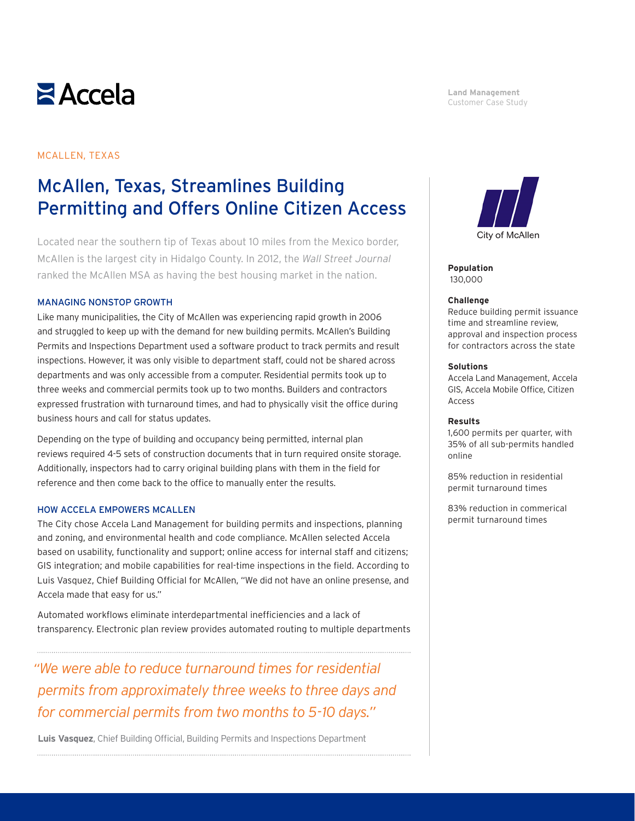

#### **Land Management** Customer Case Study

# MCALLEN, TEXAS

# McAllen, Texas, Streamlines Building Permitting and Offers Online Citizen Access

Located near the southern tip of Texas about 10 miles from the Mexico border, McAllen is the largest city in Hidalgo County. In 2012, the *Wall Street Journal* ranked the McAllen MSA as having the best housing market in the nation.

## MANAGING NONSTOP GROWTH

Like many municipalities, the City of McAllen was experiencing rapid growth in 2006 and struggled to keep up with the demand for new building permits. McAllen's Building Permits and Inspections Department used a software product to track permits and result inspections. However, it was only visible to department staff, could not be shared across departments and was only accessible from a computer. Residential permits took up to three weeks and commercial permits took up to two months. Builders and contractors expressed frustration with turnaround times, and had to physically visit the office during business hours and call for status updates.

Depending on the type of building and occupancy being permitted, internal plan reviews required 4-5 sets of construction documents that in turn required onsite storage. Additionally, inspectors had to carry original building plans with them in the field for reference and then come back to the office to manually enter the results.

# HOW ACCELA EMPOWERS MCALLEN

The City chose Accela Land Management for building permits and inspections, planning and zoning, and environmental health and code compliance. McAllen selected Accela based on usability, functionality and support; online access for internal staff and citizens; GIS integration; and mobile capabilities for real-time inspections in the field. According to Luis Vasquez, Chief Building Official for McAllen, "We did not have an online presense, and Accela made that easy for us."

Automated workflows eliminate interdepartmental inefficiencies and a lack of transparency. Electronic plan review provides automated routing to multiple departments

*"We were able to reduce turnaround times for residential permits from approximately three weeks to three days and for commercial permits from two months to 5-10 days."*

**Luis Vasquez**, Chief Building Official, Building Permits and Inspections Department 



**Population** 130,000

#### **Challenge**

Reduce building permit issuance time and streamline review, approval and inspection process for contractors across the state

### **Solutions**

Accela Land Management, Accela GIS, Accela Mobile Office, Citizen Access

### **Results**

1,600 permits per quarter, with 35% of all sub-permits handled online

85% reduction in residential permit turnaround times

83% reduction in commerical permit turnaround times